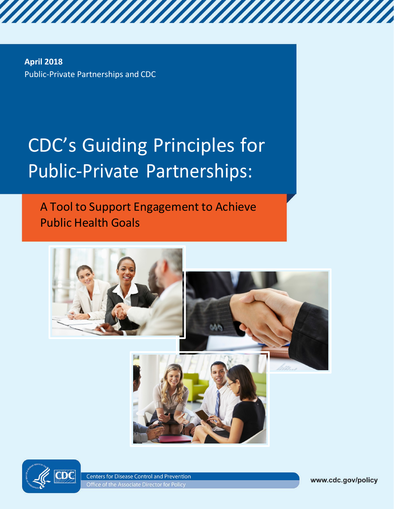**April 2018** Public-Private Partnerships and CDC

# CDC's Guiding Principles for Public-Private Partnerships:

A Tool to Support Engagement to Achieve Public Health Goals





**Centers for Disease Control and Prevention** Office of the Associate Director for Policy

www.cdc.gov/policy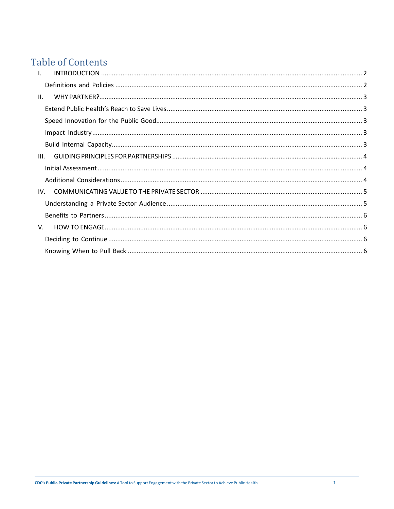# **Table of Contents**

| $\mathbf{L}$    |  |
|-----------------|--|
|                 |  |
| $\mathbf{II}$ . |  |
|                 |  |
|                 |  |
|                 |  |
|                 |  |
| III.            |  |
|                 |  |
|                 |  |
| IV.             |  |
|                 |  |
|                 |  |
| V.              |  |
|                 |  |
|                 |  |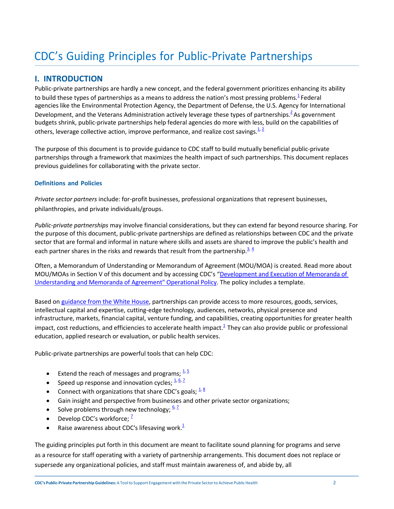# CDC's Guiding Principles for Public-Private Partnerships

# <span id="page-2-0"></span>**I. INTRODUCTION**

Public-private partnerships are hardly a new concept, and the federal government prioritizes enhancing its ability to build these types of partnerships as a means to address the nation's most pressing problems[.](#page-7-0) ${}^{1}$  Federal agencies like the Environmental Protection Agency, the Department of Defense, the U.S. Agency for International Development, and the Veterans Administration actively leverage these types of partnerships.<sup>2</sup>As government budgets shrink, public-private partnerships help federal agencies do more with less, build on the capabilities of others, leverage collective action, improve performance, and realize cost savings. $1/2$ 

The purpose of this document is to provide guidance to CDC staff to build mutually beneficial public-private partnerships through a framework that maximizes the health impact of such partnerships. This document replaces previous guidelines for collaborating with the private sector.

#### <span id="page-2-1"></span>**Definitions and Policies**

*Private sector partners* include: for-profit businesses, professional organizations that represent businesses, philanthropies, and private individuals/groups.

*Public‐private partnerships* may involve financial considerations, but they can extend far beyond resource sharing. For the purpose of this document, public-private partnerships are defined as relationships between CDC and the private sector that are formal and informal in nature where skills and assets are shared to improve the public's health and each partner shares in the risks and rewards that result from the partnership.<sup>[3,](#page-7-2) 4</sup>

Often, a Memorandum of Understanding or Memorandum of Agreement (MOU/MOA) is created. Read more about MOU/MOAs in Section V of this document and by accessing CDC's ["Development and Execution of Memoranda of](http://www.cdc.gov/partners/pdf/policy597.pdf)  Understanding and Memoranda [of Agreement" Operational Policy.](http://www.cdc.gov/partners/pdf/policy597.pdf) The policy includes a template.

Based o[n guidance from the White House,](https://colorado.feb.gov/wp-content/uploads/2015/09/white_house_-_building_partnerships_best_practices.pdf) partnerships can provide access to more resources, goods, services, intellectual capital and expertise, cutting-edge technology, audiences, networks, physical presence and infrastructure, markets, financial capital, venture funding, and capabilities, creating opportunities for greater health impact, cost reductions, and efficiencies to accelerate health impact. $1$ <sup>1</sup> They can also provide public or professional education, applied research or evaluation, or public health services.

Public-private partnerships are powerful tools that can help CDC:

- Extend the reach of messages and programs;  $\frac{1}{5}$
- Speed up response and innovation cycles;  $\frac{1}{2}$   $\frac{6}{2}$
- Connect with organizations that share CDC's goals;  $\frac{1}{8}$
- Gain insight and perspective from businesses and other private sector organizations;
- Solve problems through new technology;  $\frac{6}{7}$
- Develop CDC's workforce;  $^2$
- Raise awareness about CDC's lifesaving work. $1$

The guiding principles put forth in this document are meant to facilitate sound planning for programs and serve as a resource for staff operating with a variety of partnership arrangements. This document does not replace or supersede any organizational policies, and staff must maintain awareness of, and abide by, all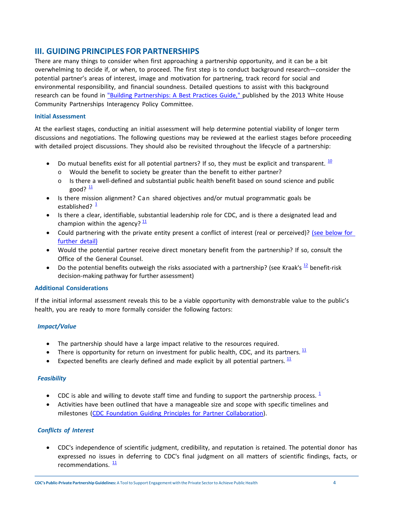# <span id="page-4-0"></span>**III. GUIDING PRINCIPLES FOR PARTNERSHIPS**

There are many things to consider when first approaching a partnership opportunity, and it can be a bit overwhelming to decide if, or when, to proceed. The first step is to conduct background research—consider the potential partner's areas of interest, image and motivation for partnering, track record for social and environmental responsibility, and financial soundness. Detailed questions to assist with this background research can be found in "Building [Partnerships: A Best](https://colorado.feb.gov/wp-content/uploads/2015/09/white_house_-_building_partnerships_best_practices.pdf) Practices Guide," published by the 2013 White House Community Partnerships Interagency Policy Committee.

#### <span id="page-4-1"></span>**Initial Assessment**

At the earliest stages, conducting an initial assessment will help determine potential viability of longer term discussions and negotiations. The following questions may be reviewed at the earliest stages before proceeding with detailed project discussions. They should also be revisited throughout the lifecycle of a partnership:

- Do mutual benefits exist for all potential partners? If so, they must be explicit and transparent.  $\frac{10}{2}$  $\frac{10}{2}$  $\frac{10}{2}$ 
	- o Would the benefit to society be greater than the benefit to either partner?
	- o Is there a well-defined and substantial public health benefit based on sound science and public good? $\frac{11}{2}$  $\frac{11}{2}$  $\frac{11}{2}$
- Is there mission alignment? Can shared objectives and/or mutual programmatic goals be established?  $\frac{1}{2}$  $\frac{1}{2}$  $\frac{1}{2}$
- Is there a clear, identifiable, substantial leadership role for CDC, and is there a designated lead and champion within the agency?  $\frac{11}{1}$  $\frac{11}{1}$  $\frac{11}{1}$
- Could partnering with the private entity present a conflict of interest (real or perceived)? (see [below](#page-4-3) for [further](#page-4-3) detail)
- Would the potential partner receive direct monetary benefit from the partnership? If so, consult the Office of the General Counsel.
- Do the potential benefits outweigh the risks associated with a partnership? (see Kraak's  $^{12}$  $^{12}$  $^{12}$  benefit-risk decision-making pathway for further assessment)

#### <span id="page-4-2"></span>**Additional Considerations**

If the initial informal assessment reveals this to be a viable opportunity with demonstrable value to the public's health, you are ready to more formally consider the following factors:

# *Impact/Value*

- The partnership should have a large impact relative to the resources required.
- There is opportunity for return on investment for public health, CDC, and its partners.  $\frac{11}{2}$  $\frac{11}{2}$  $\frac{11}{2}$
- Expected benefits are clearly defined and made explicit by all potential partners.  $\frac{11}{1}$  $\frac{11}{1}$  $\frac{11}{1}$

#### *Feasibility*

- CDC is able and willing to devote staff time and funding to support the partnership process.  $\frac{1}{2}$  $\frac{1}{2}$  $\frac{1}{2}$
- Activities have been outlined that have a manageable size and scope with specific timelines and milestones (CDC Foundation Guiding Principles for Partner [Collaboration\)](http://www.cdcfoundation.org/sites/default/files/upload/pdf/GuidingPrinciplesforCollaboration.pdf).

#### <span id="page-4-3"></span>*Conflicts of Interest*

• CDC's independence of scientific judgment, credibility, and reputation is retained. The potential donor has expressed no issues in deferring to CDC's final judgment on all matters of scientific findings, facts, or recommendations.  $\frac{11}{1}$  $\frac{11}{1}$  $\frac{11}{1}$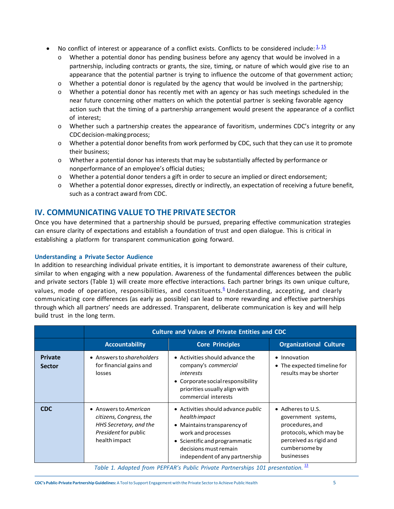- No conflict of interest or appearance of a conflict exists. Conflicts to be considered include:  $\frac{1}{2}$   $\frac{15}{2}$ 
	- o Whether a potential donor has pending business before any agency that would be involved in a partnership, including contracts or grants, the size, timing, or nature of which would give rise to an appearance that the potential partner is trying to influence the outcome of that government action;
	- $\circ$  Whether a potential donor is regulated by the agency that would be involved in the partnership;
	- o Whether a potential donor has recently met with an agency or has such meetings scheduled in the near future concerning other matters on which the potential partner is seeking favorable agency action such that the timing of a partnership arrangement would present the appearance of a conflict of interest;
	- o Whether such a partnership creates the appearance of favoritism, undermines CDC's integrity or any CDCdecision-makingprocess;
	- $\circ$  Whether a potential donor benefits from work performed by CDC, such that they can use it to promote their business;
	- $\circ$  Whether a potential donor has interests that may be substantially affected by performance or nonperformance of an employee's official duties;
	- o Whether a potential donor tenders a gift in order to secure an implied or direct endorsement;
	- o Whether a potential donor expresses, directly or indirectly, an expectation of receiving a future benefit, such as a contract award from CDC.

# <span id="page-5-0"></span>**IV. COMMUNICATING VALUE TO THE PRIVATE SECTOR**

Once you have determined that a partnership should be pursued, preparing effective communication strategies can ensure clarity of expectations and establish a foundation of trust and open dialogue. This is critical in establishing a platform for transparent communication going forward.

#### <span id="page-5-1"></span>**Understanding a Private Sector Audience**

In addition to researching individual private entities, it is important to demonstrate awareness of their culture, similar to when engaging with a new population. Awareness of the fundamental differences between the public and private sectors (Table 1) will create more effective interactions. Each partner brings its own unique culture, values, mode of operation, responsibilities, and constituents.<sup>[6](#page-7-5)</sup> Understanding, accepting, and clearly communicating core differences (as early as possible) can lead to more rewarding and effective partnerships through which all partners' needs are addressed. Transparent, deliberate communication is key and will help build trust in the long term.

|                                 | <b>Culture and Values of Private Entities and CDC</b>                                                               |                                                                                                                                                                                                             |                                                                                                                                                         |  |
|---------------------------------|---------------------------------------------------------------------------------------------------------------------|-------------------------------------------------------------------------------------------------------------------------------------------------------------------------------------------------------------|---------------------------------------------------------------------------------------------------------------------------------------------------------|--|
|                                 | <b>Accountability</b>                                                                                               | <b>Core Principles</b>                                                                                                                                                                                      | <b>Organizational Culture</b>                                                                                                                           |  |
| <b>Private</b><br><b>Sector</b> | • Answers to shareholders<br>for financial gains and<br>losses                                                      | • Activities should advance the<br>company's commercial<br>interests<br>• Corporate social responsibility<br>priorities usually align with<br>commercial interests                                          | • Innovation<br>• The expected timeline for<br>results may be shorter                                                                                   |  |
| <b>CDC</b>                      | • Answers to American<br>citizens, Congress, the<br>HHS Secretary, and the<br>President for public<br>health impact | • Activities should advance <i>public</i><br>health impact<br>• Maintains transparency of<br>work and processes<br>• Scientific and programmatic<br>decisions must remain<br>independent of any partnership | $\bullet$ Adheres to U.S.<br>government systems,<br>procedures, and<br>protocols, which may be<br>perceived as rigid and<br>cumbersome by<br>businesses |  |

*Table 1. Adapted from PEPFAR's Public Private Partnerships 101 presentation.* [13](#page-8-6)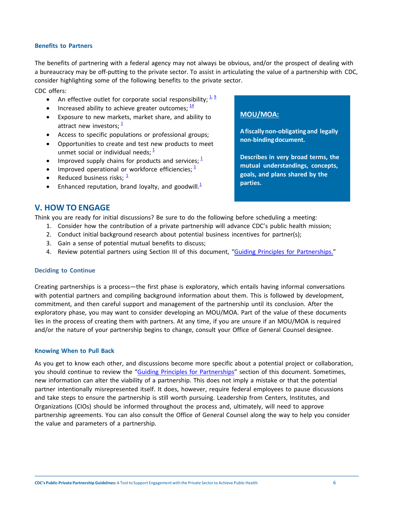#### <span id="page-6-0"></span>**Benefits to Partners**

The benefits of partnering with a federal agency may not always be obvious, and/or the prospect of dealing with a bureaucracy may be off-putting to the private sector. To assist in articulating the value of a partnership with CDC, consider highlighting some of the following benefits to the private sector.

CDC offers:

- An effective outlet for corporate social responsibility;  $\frac{1}{2}$ ,  $\frac{9}{2}$
- Increased ability to achieve greater outcomes;  $\frac{14}{1}$  $\frac{14}{1}$  $\frac{14}{1}$
- Exposure to new markets, market share, and ability to attract new investors:  $\frac{1}{2}$  $\frac{1}{2}$  $\frac{1}{2}$
- Access to specific populations or professional groups;
- Opportunities to create and test new products to meet unmet social or individual needs;  $\frac{1}{2}$  $\frac{1}{2}$  $\frac{1}{2}$
- Improved supply chains for products and services;  $\frac{1}{2}$  $\frac{1}{2}$  $\frac{1}{2}$
- Improved operational or workforce efficiencies;  $\frac{1}{2}$  $\frac{1}{2}$  $\frac{1}{2}$
- Reduced business risks;  $\frac{1}{2}$  $\frac{1}{2}$  $\frac{1}{2}$
- Enhanced reputation, brand loyalty, and goodwill  $\frac{1}{2}$

# **MOU/MOA:**

**A fiscallynon-obligating and legally non-bindingdocument.**

**Describes in very broad terms, the mutual understandings, concepts, goals, and plans shared by the parties.**

# <span id="page-6-1"></span>**V. HOW TO ENGAGE**

Think you are ready for initial discussions? Be sure to do the following before scheduling a meeting:

- 1. Consider how the contribution of a private partnership will advance CDC's public health mission;
- 2. Conduct initial background research about potential business incentives for partner(s);
- 3. Gain a sense of potential mutual benefits to discuss;
- 4. Review potential partners using Section III of this document, "Guiding Principles for [Partnerships."](#page-4-0)

#### <span id="page-6-2"></span>**Deciding to Continue**

Creating partnerships is a process—the first phase is exploratory, which entails having informal conversations with potential partners and compiling background information about them. This is followed by development, commitment, and then careful support and management of the partnership until its conclusion. After the exploratory phase, you may want to consider developing an MOU/MOA. Part of the value of these documents lies in the process of creating them with partners. At any time, if you are unsure if an MOU/MOA is required and/or the nature of your partnership begins to change, consult your Office of General Counsel designee.

#### <span id="page-6-3"></span>**Knowing When to Pull Back**

As you get to know each other, and discussions become more specific about a potential project or collaboration, you should continue to review the "Guiding Principles for [Partnerships"](#page-4-0) section of this document. Sometimes, new information can alter the viability of a partnership. This does not imply a mistake or that the potential partner intentionally misrepresented itself. It does, however, require federal employees to pause discussions and take steps to ensure the partnership is still worth pursuing. Leadership from Centers, Institutes, and Organizations (CIOs) should be informed throughout the process and, ultimately, will need to approve partnership agreements. You can also consult the Office of General Counsel along the way to help you consider the value and parameters of a partnership.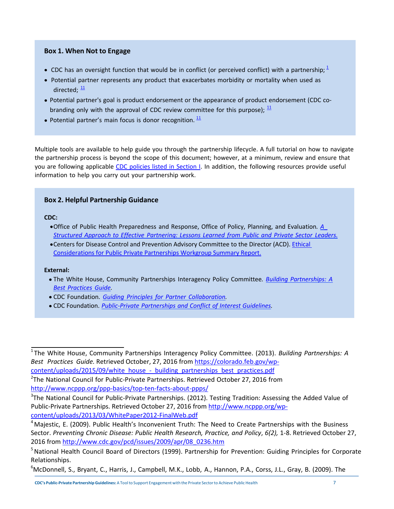## **Box 1. When Not to Engage**

- CDC has an oversight function that would be in conflict (or perceived conflict) with a partnership;  $\frac{1}{2}$  $\frac{1}{2}$  $\frac{1}{2}$
- Potential partner represents any product that exacerbates morbidity or mortality when used as directed:  $\frac{11}{1}$  $\frac{11}{1}$  $\frac{11}{1}$
- Potential partner's goal is product endorsement or the appearance of product endorsement (CDC cobranding only with the approval of CDC review committee for this purpose);  $\frac{11}{1}$  $\frac{11}{1}$  $\frac{11}{1}$
- Potential partner's main focus is donor recognition.  $\frac{11}{1}$  $\frac{11}{1}$  $\frac{11}{1}$

Multiple tools are available to help guide you through the partnership lifecycle. A full tutorial on how to navigate the partnership process is beyond the scope of this document; however, at a minimum, review and ensure that you are following applicable CDC policies listed in [Section I.](#page-2-1) In addition, the following resources provide useful information to help you carry out your partnership work.

# **Box 2. Helpful Partnership Guidance**

#### **CDC:**

- Office of Public Health Preparedness and Response, Office of Policy, Planning, and Evaluation*. [A](https://web.archive.org/web/20170301161643/https:/www.cdc.gov/phpr/partnerships/documents/a_structured_approach_to_effective_partnering.pdf) Structured Approach to Effective Partnering: Lessons Learned from Public and Private [Sector Leaders.](https://web.archive.org/web/20170301161643/https:/www.cdc.gov/phpr/partnerships/documents/a_structured_approach_to_effective_partnering.pdf)*
- Centers for Disease Control and Prevention Advisory Committee to the Director (ACD). [Ethical](https://www.cdc.gov/about/pdf/advisory/ethicalconsiderationsppprecommendationsacd.pdf)  [Considerations for Public Private Partnerships Workgroup Summary Report.](https://www.cdc.gov/about/pdf/advisory/ethicalconsiderationsppprecommendationsacd.pdf)

#### **External:**

- The White House, Community Partnerships Interagency Policy Committee*. Building [Partnerships: A](https://colorado.feb.gov/wp-content/uploads/2015/09/white_house_-_building_partnerships_best_practices.pdf) Best [Practices](https://www.colorado.feb.gov/useruploads/files/white_house_-_building_partnerships_best_practices.pdf) Guide.*
- CDC Foundation. *Guiding Principles for Partner [Collaboration.](http://www.cdcfoundation.org/sites/default/files/upload/pdf/GuidingPrinciplesforCollaboration.pdf)*
- <span id="page-7-1"></span>CDC Foundation. *[Public‐Private](http://www.cdcfoundation.org/sites/default/files/upload/pdf/Partnerships_FAQ.pdf) Partnerships and Conflict of Interest Guidelines.*

<span id="page-7-0"></span><sup>1</sup> The White House, Community Partnerships Interagency Policy Committee. (2013). *Building Partnerships: A Best Practices Guide.* Retrieved October, 27, 2016 fro[m https://colorado.feb.gov/wp-](https://colorado.feb.gov/wp-content/uploads/2015/09/white_house_-_building_partnerships_best_practices.pdf)

content/uploads/2015/09/white\_house\_-\_building\_partnerships\_best\_practices.pdf

 $T$ The National Council for Public-Private Partnerships. Retrieved October 27, 2016 from <http://www.ncppp.org/ppp-basics/top-ten-facts-about-ppps/>

<span id="page-7-2"></span><sup>&</sup>lt;sup>3</sup>The National Council for Public-Private Partnerships. (2012). Testing Tradition: Assessing the Added Value of Public-Private Partnerships. Retrieved October 27, 2016 from [http://www.ncppp.org/wp](http://www.ncppp.org/wp-content/uploads/2013/03/WhitePaper2012-FinalWeb.pdf)[content/uploads/2013/03/WhitePaper2012-FinalWeb.pdf](http://www.ncppp.org/wp-content/uploads/2013/03/WhitePaper2012-FinalWeb.pdf)

<span id="page-7-3"></span><sup>&</sup>lt;sup>4</sup> Majestic, E. (2009). Public Health's Inconvenient Truth: The Need to Create Partnerships with the Business Sector. *Preventing Chronic Disease: Public Health Research, Practice, and Policy*, *6(2),* 1-8. Retrieved October 27, 2016 from [http://www.cdc.gov/pcd/issues/2009/apr/08\\_0236.htm](http://www.cdc.gov/pcd/issues/2009/apr/08_0236.htm)

<span id="page-7-4"></span><sup>&</sup>lt;sup>5</sup> National Health Council Board of Directors (1999). Partnership for Prevention: Guiding Principles for Corporate Relationships.

<span id="page-7-5"></span><sup>&</sup>lt;sup>6</sup>McDonnell, S., Bryant, C., Harris, J., Campbell, M.K., Lobb, A., Hannon, P.A., Corss, J.L., Gray, B. (2009). The